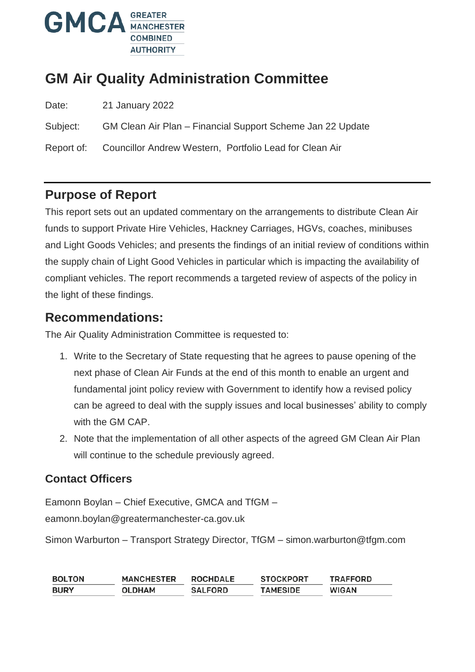

# **GM Air Quality Administration Committee**

| Date: | 21 January 2022 |
|-------|-----------------|
|-------|-----------------|

Subject: GM Clean Air Plan – Financial Support Scheme Jan 22 Update

Report of: Councillor Andrew Western, Portfolio Lead for Clean Air

### **Purpose of Report**

This report sets out an updated commentary on the arrangements to distribute Clean Air funds to support Private Hire Vehicles, Hackney Carriages, HGVs, coaches, minibuses and Light Goods Vehicles; and presents the findings of an initial review of conditions within the supply chain of Light Good Vehicles in particular which is impacting the availability of compliant vehicles. The report recommends a targeted review of aspects of the policy in the light of these findings.

### **Recommendations:**

The Air Quality Administration Committee is requested to:

- 1. Write to the Secretary of State requesting that he agrees to pause opening of the next phase of Clean Air Funds at the end of this month to enable an urgent and fundamental joint policy review with Government to identify how a revised policy can be agreed to deal with the supply issues and local businesses' ability to comply with the GM CAP.
- 2. Note that the implementation of all other aspects of the agreed GM Clean Air Plan will continue to the schedule previously agreed.

### **Contact Officers**

Eamonn Boylan – Chief Executive, GMCA and TfGM – eamonn.boylan@greatermanchester-ca.gov.uk

Simon Warburton – Transport Strategy Director, TfGM – simon.warburton@tfgm.com

| <b>BOLTON</b> | <b>MANCHESTER</b> | <b>ROCHDALE</b> | <b>STOCKPORT</b> | TRAFFORD     |
|---------------|-------------------|-----------------|------------------|--------------|
| <b>BURY</b>   | OLDHAM            | <b>SALFORD</b>  | <b>TAMESIDE</b>  | <b>WIGAN</b> |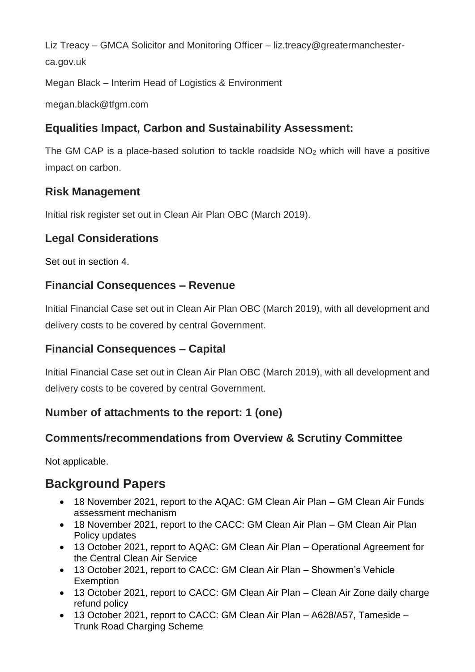Liz Treacy – GMCA Solicitor and Monitoring Officer – liz.treacy@greatermanchesterca.gov.uk

Megan Black – Interim Head of Logistics & Environment

megan.black@tfgm.com

## **Equalities Impact, Carbon and Sustainability Assessment:**

The GM CAP is a place-based solution to tackle roadside  $NO<sub>2</sub>$  which will have a positive impact on carbon.

## **Risk Management**

Initial risk register set out in Clean Air Plan OBC (March 2019).

### **Legal Considerations**

Set out in section 4.

### **Financial Consequences – Revenue**

Initial Financial Case set out in Clean Air Plan OBC (March 2019), with all development and delivery costs to be covered by central Government.

### **Financial Consequences – Capital**

Initial Financial Case set out in Clean Air Plan OBC (March 2019), with all development and delivery costs to be covered by central Government.

## **Number of attachments to the report: 1 (one)**

### **Comments/recommendations from Overview & Scrutiny Committee**

Not applicable.

# **Background Papers**

- 18 November 2021, report to the AQAC: GM Clean Air Plan GM Clean Air Funds assessment mechanism
- 18 November 2021, report to the CACC: GM Clean Air Plan GM Clean Air Plan Policy updates
- 13 October 2021, report to AQAC: GM Clean Air Plan Operational Agreement for the Central Clean Air Service
- 13 October 2021, report to CACC: GM Clean Air Plan Showmen's Vehicle **Exemption**
- 13 October 2021, report to CACC: GM Clean Air Plan Clean Air Zone daily charge refund policy
- 13 October 2021, report to CACC: GM Clean Air Plan A628/A57, Tameside Trunk Road Charging Scheme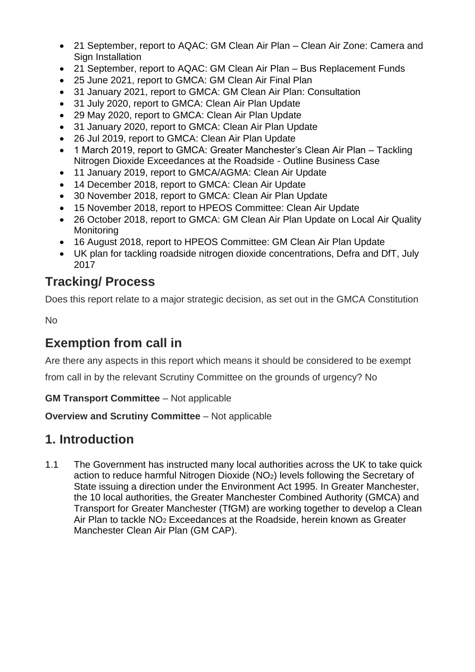- 21 September, report to AQAC: GM Clean Air Plan Clean Air Zone: Camera and Sign Installation
- 21 September, report to AQAC: GM Clean Air Plan Bus Replacement Funds
- 25 June 2021, report to GMCA: GM Clean Air Final Plan
- 31 January 2021, report to GMCA: GM Clean Air Plan: Consultation
- 31 July 2020, report to GMCA: Clean Air Plan Update
- 29 May 2020, report to GMCA: Clean Air Plan Update
- 31 January 2020, report to GMCA: Clean Air Plan Update
- 26 Jul 2019, report to GMCA: Clean Air Plan Update
- 1 March 2019, report to GMCA: Greater Manchester's Clean Air Plan Tackling Nitrogen Dioxide Exceedances at the Roadside - Outline Business Case
- 11 January 2019, report to GMCA/AGMA: Clean Air Update
- 14 December 2018, report to GMCA: Clean Air Update
- 30 November 2018, report to GMCA: Clean Air Plan Update
- 15 November 2018, report to HPEOS Committee: Clean Air Update
- 26 October 2018, report to GMCA: GM Clean Air Plan Update on Local Air Quality Monitoring
- 16 August 2018, report to HPEOS Committee: GM Clean Air Plan Update
- UK plan for tackling roadside nitrogen dioxide concentrations, Defra and DfT, July 2017

## **Tracking/ Process**

Does this report relate to a major strategic decision, as set out in the GMCA Constitution

No

# **Exemption from call in**

Are there any aspects in this report which means it should be considered to be exempt

from call in by the relevant Scrutiny Committee on the grounds of urgency? No

#### **GM Transport Committee** – Not applicable

**Overview and Scrutiny Committee** – Not applicable

## **1. Introduction**

1.1 The Government has instructed many local authorities across the UK to take quick action to reduce harmful Nitrogen Dioxide (NO2) levels following the Secretary of State issuing a direction under the Environment Act 1995. In Greater Manchester, the 10 local authorities, the Greater Manchester Combined Authority (GMCA) and Transport for Greater Manchester (TfGM) are working together to develop a Clean Air Plan to tackle NO<sub>2</sub> Exceedances at the Roadside, herein known as Greater Manchester Clean Air Plan (GM CAP).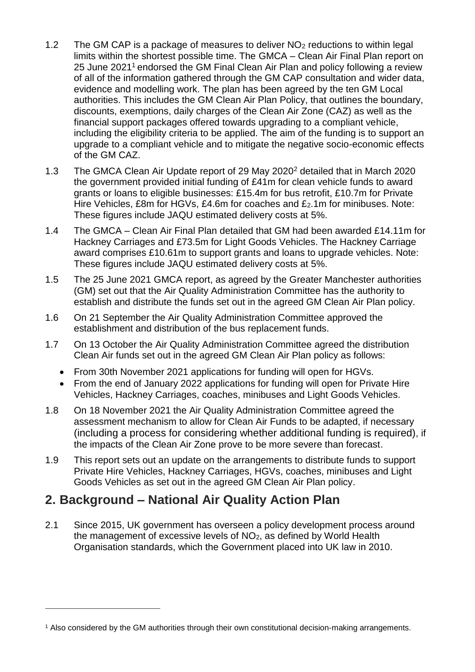- 1.2 The GM CAP is a package of measures to deliver NO<sup>2</sup> reductions to within legal limits within the shortest possible time. The GMCA – Clean Air Final Plan report on 25 June 2021<sup>1</sup> endorsed the GM Final Clean Air Plan and policy following a review of all of the information gathered through the GM CAP consultation and wider data, evidence and modelling work. The plan has been agreed by the ten GM Local authorities. This includes the GM Clean Air Plan Policy, that outlines the boundary, discounts, exemptions, daily charges of the Clean Air Zone (CAZ) as well as the financial support packages offered towards upgrading to a compliant vehicle, including the eligibility criteria to be applied. The aim of the funding is to support an upgrade to a compliant vehicle and to mitigate the negative socio-economic effects of the GM CAZ.
- 1.3 The GMCA Clean Air Update report of 29 May 2020<sup>2</sup> detailed that in March 2020 the government provided initial funding of £41m for clean vehicle funds to award grants or loans to eligible businesses: £15.4m for bus retrofit, £10.7m for Private Hire Vehicles, £8m for HGVs, £4.6m for coaches and £2.1m for minibuses. Note: These figures include JAQU estimated delivery costs at 5%.
- 1.4 The GMCA Clean Air Final Plan detailed that GM had been awarded £14.11m for Hackney Carriages and £73.5m for Light Goods Vehicles. The Hackney Carriage award comprises £10.61m to support grants and loans to upgrade vehicles. Note: These figures include JAQU estimated delivery costs at 5%.
- 1.5 The 25 June 2021 GMCA report, as agreed by the Greater Manchester authorities (GM) set out that the Air Quality Administration Committee has the authority to establish and distribute the funds set out in the agreed GM Clean Air Plan policy.
- 1.6 On 21 September the Air Quality Administration Committee approved the establishment and distribution of the bus replacement funds.
- 1.7 On 13 October the Air Quality Administration Committee agreed the distribution Clean Air funds set out in the agreed GM Clean Air Plan policy as follows:
	- From 30th November 2021 applications for funding will open for HGVs.
	- From the end of January 2022 applications for funding will open for Private Hire Vehicles, Hackney Carriages, coaches, minibuses and Light Goods Vehicles.
- 1.8 On 18 November 2021 the Air Quality Administration Committee agreed the assessment mechanism to allow for Clean Air Funds to be adapted, if necessary (including a process for considering whether additional funding is required), if the impacts of the Clean Air Zone prove to be more severe than forecast.
- 1.9 This report sets out an update on the arrangements to distribute funds to support Private Hire Vehicles, Hackney Carriages, HGVs, coaches, minibuses and Light Goods Vehicles as set out in the agreed GM Clean Air Plan policy.

## **2. Background – National Air Quality Action Plan**

 $\overline{a}$ 

2.1 Since 2015, UK government has overseen a policy development process around the management of excessive levels of NO2, as defined by World Health Organisation standards, which the Government placed into UK law in 2010.

<sup>1</sup> Also considered by the GM authorities through their own constitutional decision-making arrangements.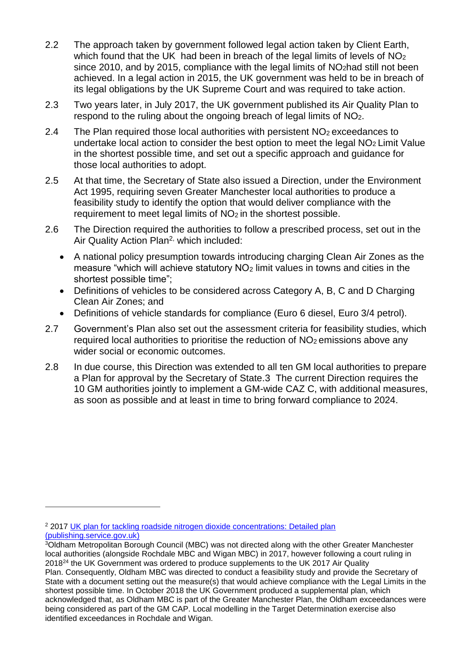- 2.2 The approach taken by government followed legal action taken by Client Earth, which found that the UK had been in breach of the legal limits of levels of NO<sub>2</sub> since 2010, and by 2015, compliance with the legal limits of NO<sub>2</sub>had still not been achieved. In a legal action in 2015, the UK government was held to be in breach of its legal obligations by the UK Supreme Court and was required to take action.
- 2.3 Two years later, in July 2017, the UK government published its Air Quality Plan to respond to the ruling about the ongoing breach of legal limits of NO2.
- 2.4 The Plan required those local authorities with persistent  $NO<sub>2</sub>$  exceedances to undertake local action to consider the best option to meet the legal  $NO<sub>2</sub>$  Limit Value in the shortest possible time, and set out a specific approach and guidance for those local authorities to adopt.
- 2.5 At that time, the Secretary of State also issued a Direction, under the Environment Act 1995, requiring seven Greater Manchester local authorities to produce a feasibility study to identify the option that would deliver compliance with the requirement to meet legal limits of NO<sub>2</sub> in the shortest possible.
- 2.6 The Direction required the authorities to follow a prescribed process, set out in the Air Quality Action Plan<sup>2,</sup> which included:
	- A national policy presumption towards introducing charging Clean Air Zones as the measure "which will achieve statutory NO<sup>2</sup> limit values in towns and cities in the shortest possible time";
	- Definitions of vehicles to be considered across Category A, B, C and D Charging Clean Air Zones; and
	- Definitions of vehicle standards for compliance (Euro 6 diesel, Euro 3/4 petrol).
- 2.7 Government's Plan also set out the assessment criteria for feasibility studies, which required local authorities to prioritise the reduction of NO<sub>2</sub> emissions above any wider social or economic outcomes.
- 2.8 In due course, this Direction was extended to all ten GM local authorities to prepare a Plan for approval by the Secretary of State.3 The current Direction requires the 10 GM authorities jointly to implement a GM-wide CAZ C, with additional measures, as soon as possible and at least in time to bring forward compliance to 2024.

 $\overline{a}$ 

<sup>&</sup>lt;sup>2</sup> 2017 UK plan for tackling roadside nitrogen dioxide concentrations: Detailed plan [\(publishing.service.gov.uk\)](https://assets.publishing.service.gov.uk/government/uploads/system/uploads/attachment_data/file/633270/air-quality-plan-detail.pdf)

<sup>3</sup>Oldham Metropolitan Borough Council (MBC) was not directed along with the other Greater Manchester local authorities (alongside Rochdale MBC and Wigan MBC) in 2017, however following a court ruling in 2018<sup>24</sup> the UK Government was ordered to produce supplements to the UK 2017 Air Quality Plan. Consequently, Oldham MBC was directed to conduct a feasibility study and provide the Secretary of State with a document setting out the measure(s) that would achieve compliance with the Legal Limits in the shortest possible time. In October 2018 the UK Government produced a supplemental plan, which acknowledged that, as Oldham MBC is part of the Greater Manchester Plan, the Oldham exceedances were being considered as part of the GM CAP. Local modelling in the Target Determination exercise also identified exceedances in Rochdale and Wigan.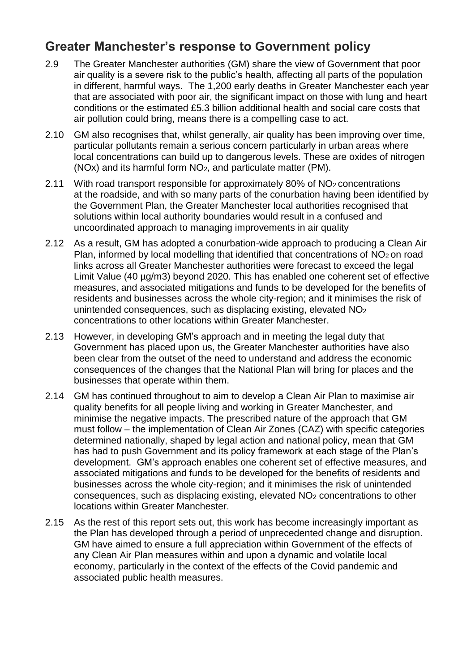## **Greater Manchester's response to Government policy**

- 2.9 The Greater Manchester authorities (GM) share the view of Government that poor air quality is a severe risk to the public's health, affecting all parts of the population in different, harmful ways. The 1,200 early deaths in Greater Manchester each year that are associated with poor air, the significant impact on those with lung and heart conditions or the estimated £5.3 billion additional health and social care costs that air pollution could bring, means there is a compelling case to act.
- 2.10 GM also recognises that, whilst generally, air quality has been improving over time, particular pollutants remain a serious concern particularly in urban areas where local concentrations can build up to dangerous levels. These are oxides of nitrogen (NOx) and its harmful form NO2, and particulate matter (PM).
- 2.11 With road transport responsible for approximately 80% of NO<sup>2</sup> concentrations at the roadside, and with so many parts of the conurbation having been identified by the Government Plan, the Greater Manchester local authorities recognised that solutions within local authority boundaries would result in a confused and uncoordinated approach to managing improvements in air quality
- 2.12 As a result, GM has adopted a conurbation-wide approach to producing a Clean Air Plan, informed by local modelling that identified that concentrations of  $NO<sub>2</sub>$  on road links across all Greater Manchester authorities were forecast to exceed the legal Limit Value (40 µg/m3) beyond 2020. This has enabled one coherent set of effective measures, and associated mitigations and funds to be developed for the benefits of residents and businesses across the whole city-region; and it minimises the risk of unintended consequences, such as displacing existing, elevated NO<sup>2</sup> concentrations to other locations within Greater Manchester.
- 2.13 However, in developing GM's approach and in meeting the legal duty that Government has placed upon us, the Greater Manchester authorities have also been clear from the outset of the need to understand and address the economic consequences of the changes that the National Plan will bring for places and the businesses that operate within them.
- 2.14 GM has continued throughout to aim to develop a Clean Air Plan to maximise air quality benefits for all people living and working in Greater Manchester, and minimise the negative impacts. The prescribed nature of the approach that GM must follow – the implementation of Clean Air Zones (CAZ) with specific categories determined nationally, shaped by legal action and national policy, mean that GM has had to push Government and its policy framework at each stage of the Plan's development. GM's approach enables one coherent set of effective measures, and associated mitigations and funds to be developed for the benefits of residents and businesses across the whole city-region; and it minimises the risk of unintended consequences, such as displacing existing, elevated NO<sup>2</sup> concentrations to other locations within Greater Manchester.
- 2.15 As the rest of this report sets out, this work has become increasingly important as the Plan has developed through a period of unprecedented change and disruption. GM have aimed to ensure a full appreciation within Government of the effects of any Clean Air Plan measures within and upon a dynamic and volatile local economy, particularly in the context of the effects of the Covid pandemic and associated public health measures.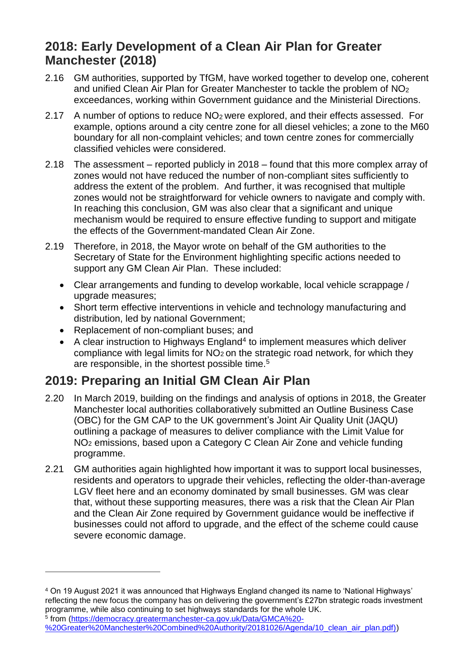## **2018: Early Development of a Clean Air Plan for Greater Manchester (2018)**

- 2.16 GM authorities, supported by TfGM, have worked together to develop one, coherent and unified Clean Air Plan for Greater Manchester to tackle the problem of NO<sup>2</sup> exceedances, working within Government guidance and the Ministerial Directions.
- 2.17 A number of options to reduce NO<sub>2</sub> were explored, and their effects assessed. For example, options around a city centre zone for all diesel vehicles; a zone to the M60 boundary for all non-complaint vehicles; and town centre zones for commercially classified vehicles were considered.
- 2.18 The assessment reported publicly in 2018 found that this more complex array of zones would not have reduced the number of non-compliant sites sufficiently to address the extent of the problem. And further, it was recognised that multiple zones would not be straightforward for vehicle owners to navigate and comply with. In reaching this conclusion, GM was also clear that a significant and unique mechanism would be required to ensure effective funding to support and mitigate the effects of the Government-mandated Clean Air Zone.
- 2.19 Therefore, in 2018, the Mayor wrote on behalf of the GM authorities to the Secretary of State for the Environment highlighting specific actions needed to support any GM Clean Air Plan. These included:
	- Clear arrangements and funding to develop workable, local vehicle scrappage / upgrade measures;
	- Short term effective interventions in vehicle and technology manufacturing and distribution, led by national Government;
	- Replacement of non-compliant buses; and

 $\overline{a}$ 

 $\bullet$  A clear instruction to Highways England<sup>4</sup> to implement measures which deliver compliance with legal limits for  $NO<sub>2</sub>$  on the strategic road network, for which they are responsible, in the shortest possible time.<sup>5</sup>

## **2019: Preparing an Initial GM Clean Air Plan**

- 2.20 In March 2019, building on the findings and analysis of options in 2018, the Greater Manchester local authorities collaboratively submitted an Outline Business Case (OBC) for the GM CAP to the UK government's Joint Air Quality Unit (JAQU) outlining a package of measures to deliver compliance with the Limit Value for NO<sup>2</sup> emissions, based upon a Category C Clean Air Zone and vehicle funding programme.
- 2.21 GM authorities again highlighted how important it was to support local businesses, residents and operators to upgrade their vehicles, reflecting the older-than-average LGV fleet here and an economy dominated by small businesses. GM was clear that, without these supporting measures, there was a risk that the Clean Air Plan and the Clean Air Zone required by Government guidance would be ineffective if businesses could not afford to upgrade, and the effect of the scheme could cause severe economic damage.

5 from [\(https://democracy.greatermanchester-ca.gov.uk/Data/GMCA%20-](https://democracy.greatermanchester-ca.gov.uk/Data/GMCA%20-%20Greater%20Manchester%20Combined%20Authority/20181026/Agenda/10_clean_air_plan.pdf)) [%20Greater%20Manchester%20Combined%20Authority/20181026/Agenda/10\\_clean\\_air\\_plan.pdf\)\)](https://democracy.greatermanchester-ca.gov.uk/Data/GMCA%20-%20Greater%20Manchester%20Combined%20Authority/20181026/Agenda/10_clean_air_plan.pdf))

<sup>4</sup> On 19 August 2021 it was announced that Highways England changed its name to 'National Highways' reflecting the new focus the company has on delivering the government's £27bn strategic roads investment programme, while also continuing to set highways standards for the whole UK.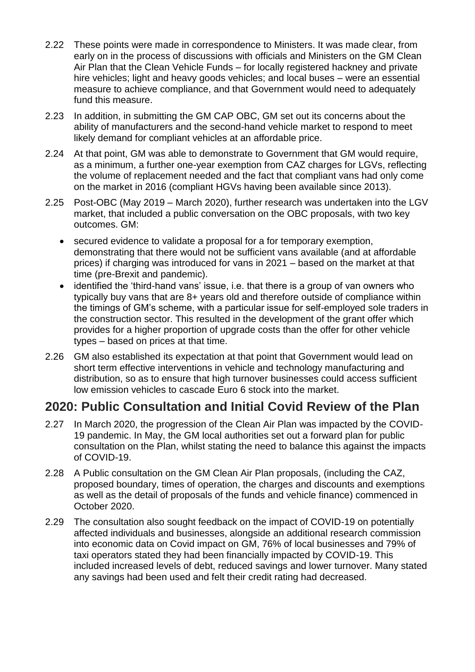- 2.22 These points were made in correspondence to Ministers. It was made clear, from early on in the process of discussions with officials and Ministers on the GM Clean Air Plan that the Clean Vehicle Funds – for locally registered hackney and private hire vehicles; light and heavy goods vehicles; and local buses – were an essential measure to achieve compliance, and that Government would need to adequately fund this measure.
- 2.23 In addition, in submitting the GM CAP OBC, GM set out its concerns about the ability of manufacturers and the second-hand vehicle market to respond to meet likely demand for compliant vehicles at an affordable price.
- 2.24 At that point, GM was able to demonstrate to Government that GM would require, as a minimum, a further one-year exemption from CAZ charges for LGVs, reflecting the volume of replacement needed and the fact that compliant vans had only come on the market in 2016 (compliant HGVs having been available since 2013).
- 2.25 Post-OBC (May 2019 March 2020), further research was undertaken into the LGV market, that included a public conversation on the OBC proposals, with two key outcomes. GM:
	- secured evidence to validate a proposal for a for temporary exemption, demonstrating that there would not be sufficient vans available (and at affordable prices) if charging was introduced for vans in 2021 – based on the market at that time (pre-Brexit and pandemic).
	- identified the 'third-hand vans' issue, i.e. that there is a group of van owners who typically buy vans that are 8+ years old and therefore outside of compliance within the timings of GM's scheme, with a particular issue for self-employed sole traders in the construction sector. This resulted in the development of the grant offer which provides for a higher proportion of upgrade costs than the offer for other vehicle types – based on prices at that time.
- 2.26 GM also established its expectation at that point that Government would lead on short term effective interventions in vehicle and technology manufacturing and distribution, so as to ensure that high turnover businesses could access sufficient low emission vehicles to cascade Euro 6 stock into the market.

## **2020: Public Consultation and Initial Covid Review of the Plan**

- 2.27 In March 2020, the progression of the Clean Air Plan was impacted by the COVID-19 pandemic. In May, the GM local authorities set out a forward plan for public consultation on the Plan, whilst stating the need to balance this against the impacts of COVID-19.
- 2.28 A Public consultation on the GM Clean Air Plan proposals, (including the CAZ, proposed boundary, times of operation, the charges and discounts and exemptions as well as the detail of proposals of the funds and vehicle finance) commenced in October 2020.
- 2.29 The consultation also sought feedback on the impact of COVID-19 on potentially affected individuals and businesses, alongside an additional research commission into economic data on Covid impact on GM, 76% of local businesses and 79% of taxi operators stated they had been financially impacted by COVID-19. This included increased levels of debt, reduced savings and lower turnover. Many stated any savings had been used and felt their credit rating had decreased.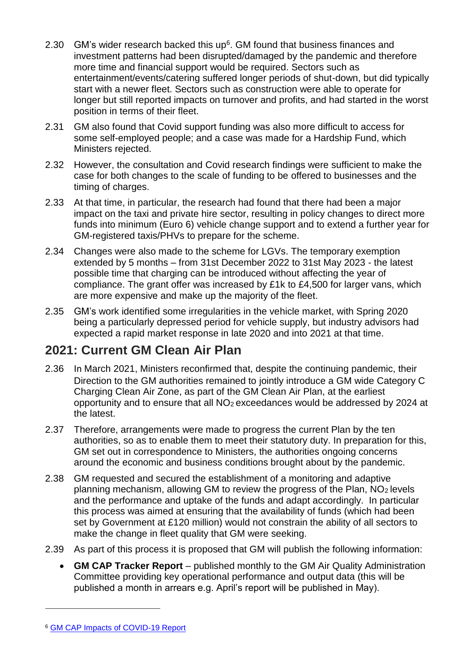- 2.30 GM's wider research backed this up $6$ . GM found that business finances and investment patterns had been disrupted/damaged by the pandemic and therefore more time and financial support would be required. Sectors such as entertainment/events/catering suffered longer periods of shut-down, but did typically start with a newer fleet. Sectors such as construction were able to operate for longer but still reported impacts on turnover and profits, and had started in the worst position in terms of their fleet.
- 2.31 GM also found that Covid support funding was also more difficult to access for some self-employed people; and a case was made for a Hardship Fund, which Ministers rejected.
- 2.32 However, the consultation and Covid research findings were sufficient to make the case for both changes to the scale of funding to be offered to businesses and the timing of charges.
- 2.33 At that time, in particular, the research had found that there had been a major impact on the taxi and private hire sector, resulting in policy changes to direct more funds into minimum (Euro 6) vehicle change support and to extend a further year for GM-registered taxis/PHVs to prepare for the scheme.
- 2.34 Changes were also made to the scheme for LGVs. The temporary exemption extended by 5 months – from 31st December 2022 to 31st May 2023 - the latest possible time that charging can be introduced without affecting the year of compliance. The grant offer was increased by £1k to £4,500 for larger vans, which are more expensive and make up the majority of the fleet.
- 2.35 GM's work identified some irregularities in the vehicle market, with Spring 2020 being a particularly depressed period for vehicle supply, but industry advisors had expected a rapid market response in late 2020 and into 2021 at that time.

# **2021: Current GM Clean Air Plan**

- 2.36 In March 2021, Ministers reconfirmed that, despite the continuing pandemic, their Direction to the GM authorities remained to jointly introduce a GM wide Category C Charging Clean Air Zone, as part of the GM Clean Air Plan, at the earliest opportunity and to ensure that all NO2 exceedances would be addressed by 2024 at the latest.
- 2.37 Therefore, arrangements were made to progress the current Plan by the ten authorities, so as to enable them to meet their statutory duty. In preparation for this, GM set out in correspondence to Ministers, the authorities ongoing concerns around the economic and business conditions brought about by the pandemic.
- 2.38 GM requested and secured the establishment of a monitoring and adaptive planning mechanism, allowing GM to review the progress of the Plan, NO2 levels and the performance and uptake of the funds and adapt accordingly. In particular this process was aimed at ensuring that the availability of funds (which had been set by Government at £120 million) would not constrain the ability of all sectors to make the change in fleet quality that GM were seeking.
- 2.39 As part of this process it is proposed that GM will publish the following information:
	- **GM CAP Tracker Report** published monthly to the GM Air Quality Administration Committee providing key operational performance and output data (this will be published a month in arrears e.g. April's report will be published in May).

 $\overline{a}$ 

<sup>6</sup> [GM CAP Impacts of COVID-19 Report](https://assets.ctfassets.net/tlpgbvy1k6h2/2vJXVuLxfXON7HexGli29Q/4726e8696145d9f10bd1b19c16bdc1dd/Appendix_5_____Impacts_of_COVID-19_Report.pdf)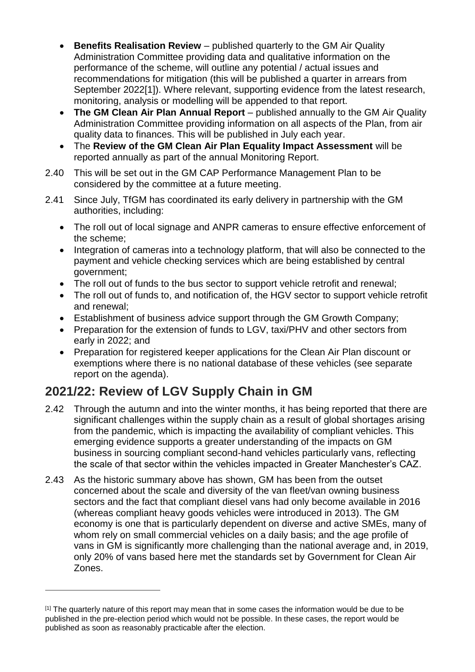- **Benefits Realisation Review** published quarterly to the GM Air Quality Administration Committee providing data and qualitative information on the performance of the scheme, will outline any potential / actual issues and recommendations for mitigation (this will be published a quarter in arrears from September 2022[1]). Where relevant, supporting evidence from the latest research, monitoring, analysis or modelling will be appended to that report.
- **The GM Clean Air Plan Annual Report** published annually to the GM Air Quality Administration Committee providing information on all aspects of the Plan, from air quality data to finances. This will be published in July each year.
- The **Review of the GM Clean Air Plan Equality Impact Assessment** will be reported annually as part of the annual Monitoring Report.
- 2.40 This will be set out in the GM CAP Performance Management Plan to be considered by the committee at a future meeting.
- 2.41 Since July, TfGM has coordinated its early delivery in partnership with the GM authorities, including:
	- The roll out of local signage and ANPR cameras to ensure effective enforcement of the scheme;
	- Integration of cameras into a technology platform, that will also be connected to the payment and vehicle checking services which are being established by central government;
	- The roll out of funds to the bus sector to support vehicle retrofit and renewal;
	- The roll out of funds to, and notification of, the HGV sector to support vehicle retrofit and renewal;
	- Establishment of business advice support through the GM Growth Company;
	- Preparation for the extension of funds to LGV, taxi/PHV and other sectors from early in 2022; and
	- Preparation for registered keeper applications for the Clean Air Plan discount or exemptions where there is no national database of these vehicles (see separate report on the agenda).

# **2021/22: Review of LGV Supply Chain in GM**

 $\overline{a}$ 

- 2.42 Through the autumn and into the winter months, it has being reported that there are significant challenges within the supply chain as a result of global shortages arising from the pandemic, which is impacting the availability of compliant vehicles. This emerging evidence supports a greater understanding of the impacts on GM business in sourcing compliant second-hand vehicles particularly vans, reflecting the scale of that sector within the vehicles impacted in Greater Manchester's CAZ.
- 2.43 As the historic summary above has shown, GM has been from the outset concerned about the scale and diversity of the van fleet/van owning business sectors and the fact that compliant diesel vans had only become available in 2016 (whereas compliant heavy goods vehicles were introduced in 2013). The GM economy is one that is particularly dependent on diverse and active SMEs, many of whom rely on small commercial vehicles on a daily basis; and the age profile of vans in GM is significantly more challenging than the national average and, in 2019, only 20% of vans based here met the standards set by Government for Clean Air Zones.

<sup>[1]</sup> The quarterly nature of this report may mean that in some cases the information would be due to be published in the pre-election period which would not be possible. In these cases, the report would be published as soon as reasonably practicable after the election.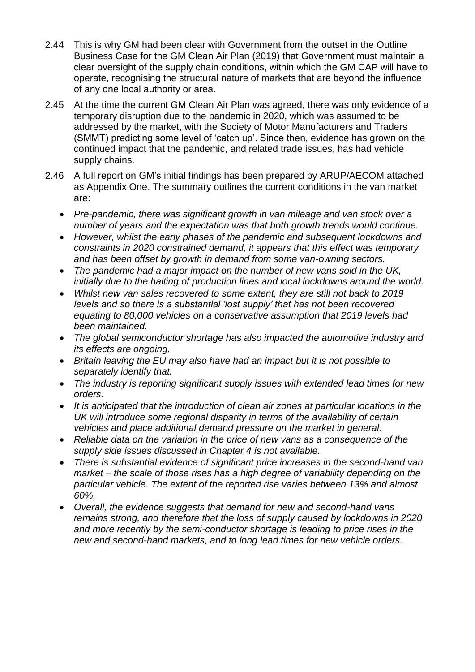- 2.44 This is why GM had been clear with Government from the outset in the Outline Business Case for the GM Clean Air Plan (2019) that Government must maintain a clear oversight of the supply chain conditions, within which the GM CAP will have to operate, recognising the structural nature of markets that are beyond the influence of any one local authority or area.
- 2.45 At the time the current GM Clean Air Plan was agreed, there was only evidence of a temporary disruption due to the pandemic in 2020, which was assumed to be addressed by the market, with the Society of Motor Manufacturers and Traders (SMMT) predicting some level of 'catch up'. Since then, evidence has grown on the continued impact that the pandemic, and related trade issues, has had vehicle supply chains.
- 2.46 A full report on GM's initial findings has been prepared by ARUP/AECOM attached as Appendix One. The summary outlines the current conditions in the van market are:
	- *Pre-pandemic, there was significant growth in van mileage and van stock over a number of years and the expectation was that both growth trends would continue.*
	- *However, whilst the early phases of the pandemic and subsequent lockdowns and constraints in 2020 constrained demand, it appears that this effect was temporary and has been offset by growth in demand from some van-owning sectors.*
	- *The pandemic had a major impact on the number of new vans sold in the UK, initially due to the halting of production lines and local lockdowns around the world.*
	- *Whilst new van sales recovered to some extent, they are still not back to 2019 levels and so there is a substantial 'lost supply' that has not been recovered equating to 80,000 vehicles on a conservative assumption that 2019 levels had been maintained.*
	- *The global semiconductor shortage has also impacted the automotive industry and its effects are ongoing.*
	- *Britain leaving the EU may also have had an impact but it is not possible to separately identify that.*
	- *The industry is reporting significant supply issues with extended lead times for new orders.*
	- *It is anticipated that the introduction of clean air zones at particular locations in the UK will introduce some regional disparity in terms of the availability of certain vehicles and place additional demand pressure on the market in general.*
	- *Reliable data on the variation in the price of new vans as a consequence of the supply side issues discussed in Chapter 4 is not available.*
	- *There is substantial evidence of significant price increases in the second-hand van market – the scale of those rises has a high degree of variability depending on the particular vehicle. The extent of the reported rise varies between 13% and almost 60%.*
	- *Overall, the evidence suggests that demand for new and second-hand vans remains strong, and therefore that the loss of supply caused by lockdowns in 2020 and more recently by the semi-conductor shortage is leading to price rises in the new and second-hand markets, and to long lead times for new vehicle orders*.